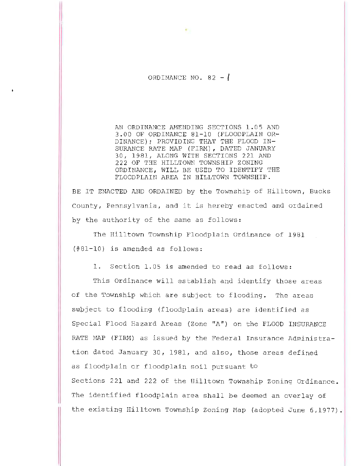ORDINANCE NO.  $82 - 1$ 

AN ORDINANCE AMENDING SECTIONS 1.05 AND 3.00 OF ORDINANCE 81-10 (FLOODPLAIN OR-DINANCE); PROVIDING THAT THE FLOOD IN-SURANCE RATE MAP (FIRM), DATED JANUARY 30, 1981, ALONG WITH SECTIONS 221 AND 222 OF THE HILLTOWN TOWNSHIP ZONING ORDINANCE, WILL BE USED TO IDENTIFY THE FLOODPLAIN AREA IN HILLTOWN TOWNSHIP.

BE IT ENACTED AND ORDAINED by the Township of Hilltown, Bucks County, Pennsylvania, and it is hereby enacted and ordained by the authority of the same as follows:

The Hilltown Township Floodplain Ordinance of 1981 (#81-10) is amended as follows:

1. Section 1.05 is amended to read as follows:

This Ordinance will establish and identify those areas of the Township which are subject to flooding. The areas supject to flooding (floodplain areas) are identified as Special Flood Hazard Areas (Zone "A") on the FLOOD INSURANCE RATE MAP (FIRM) as issued by the Federal Insurance Administration dated January 30, 1981, and also, those areas defined as floodplain or floodplain soil pursuant to Sections 221 and 222 of the Hilltown Township Zoning Ordinance. The identified floodplain area shall be deemed an overlay of the existing Hilltown Township Zoning Map (adopted June 6,1977).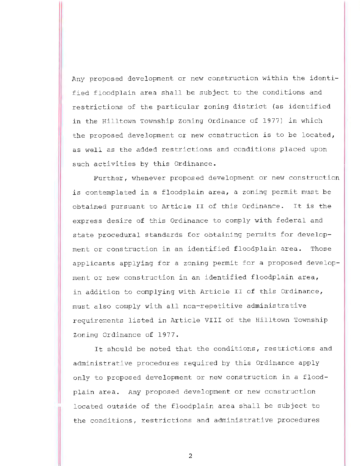Any proposed development or new construction within the identified floodplain area shall be subject to the conditions and restrictions of the particular zoning district (as identified in the Hilltown Township zoning Ordinance of 1977) in which the proposed development or new construction is to be located, as well as the added restrictions and conditions placed upon such activities by this Ordinance.

Further, whenever proposed development or new construction is contemplated in a floodplain area, a zoning permit must be obtained pursuant to Article II of this Ordinance. It is the express desire of this Ordinance to comply with federal and state procedural standards for obtaining permits for development or construction in an identified floodplain area. Those applicants applying for a zoning permit for a proposed development or new construction in an identified floodplain area, in addition to complying with Article II of this Ordinance, must also comply with all non-repetitive administrative requireraents listed in Article VIII of the Hilltown Township Zoning Ordinance of 1977.

It should be noted that the conditions, restrictions and administrative procedures required by this Ordinance apply only to proposed development or new construction in a floodplain area. Any proposed development or new construction located outside of the floodplain area shall be subject to the conditions, restrictions and administrative procedures

2